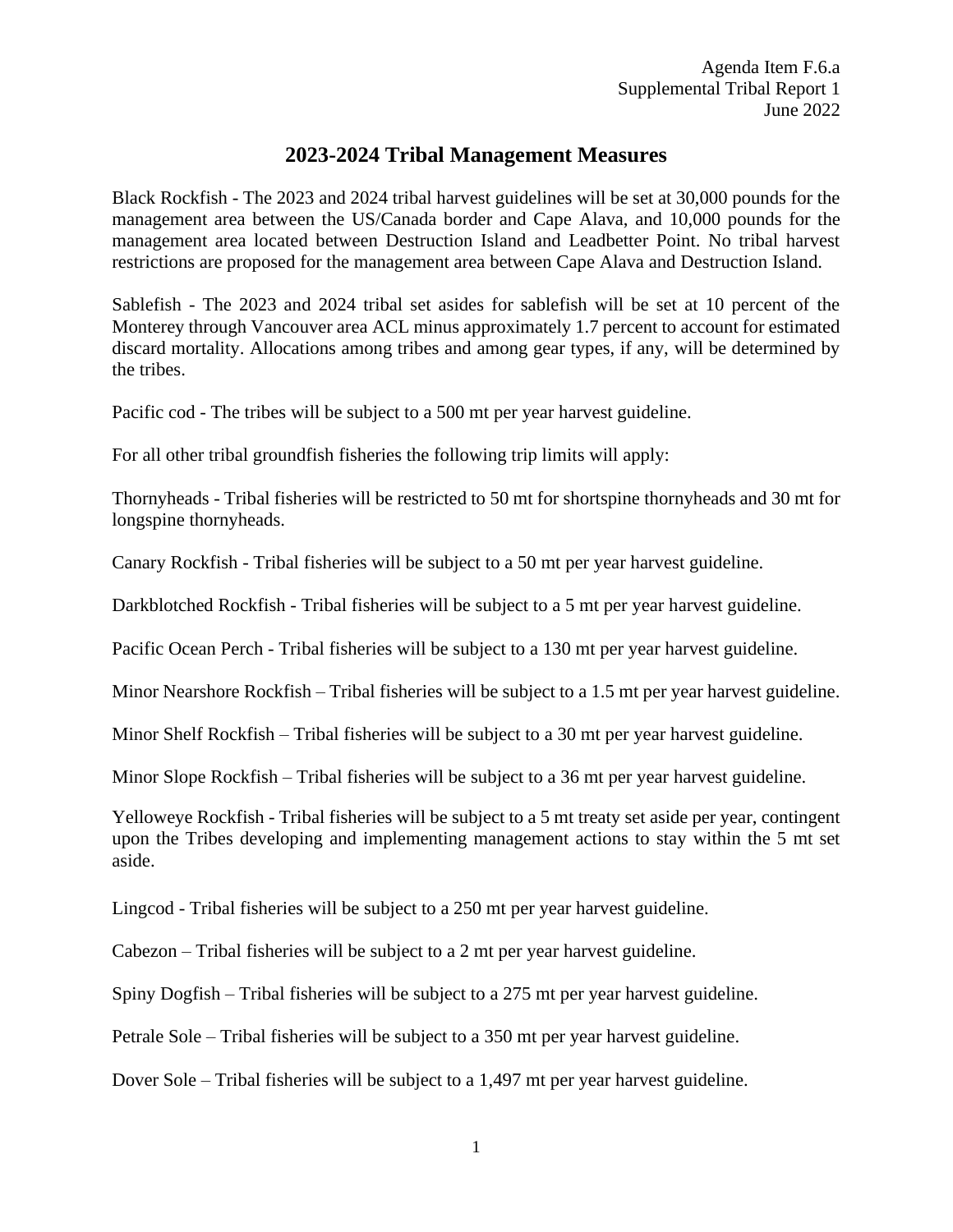## **2023-2024 Tribal Management Measures**

Black Rockfish - The 2023 and 2024 tribal harvest guidelines will be set at 30,000 pounds for the management area between the US/Canada border and Cape Alava, and 10,000 pounds for the management area located between Destruction Island and Leadbetter Point. No tribal harvest restrictions are proposed for the management area between Cape Alava and Destruction Island.

Sablefish - The 2023 and 2024 tribal set asides for sablefish will be set at 10 percent of the Monterey through Vancouver area ACL minus approximately 1.7 percent to account for estimated discard mortality. Allocations among tribes and among gear types, if any, will be determined by the tribes.

Pacific cod - The tribes will be subject to a 500 mt per year harvest guideline.

For all other tribal groundfish fisheries the following trip limits will apply:

Thornyheads - Tribal fisheries will be restricted to 50 mt for shortspine thornyheads and 30 mt for longspine thornyheads.

Canary Rockfish - Tribal fisheries will be subject to a 50 mt per year harvest guideline.

Darkblotched Rockfish - Tribal fisheries will be subject to a 5 mt per year harvest guideline.

Pacific Ocean Perch - Tribal fisheries will be subject to a 130 mt per year harvest guideline.

Minor Nearshore Rockfish – Tribal fisheries will be subject to a 1.5 mt per year harvest guideline.

Minor Shelf Rockfish – Tribal fisheries will be subject to a 30 mt per year harvest guideline.

Minor Slope Rockfish – Tribal fisheries will be subject to a 36 mt per year harvest guideline.

Yelloweye Rockfish - Tribal fisheries will be subject to a 5 mt treaty set aside per year, contingent upon the Tribes developing and implementing management actions to stay within the 5 mt set aside.

Lingcod - Tribal fisheries will be subject to a 250 mt per year harvest guideline.

Cabezon – Tribal fisheries will be subject to a 2 mt per year harvest guideline.

Spiny Dogfish – Tribal fisheries will be subject to a 275 mt per year harvest guideline.

Petrale Sole – Tribal fisheries will be subject to a 350 mt per year harvest guideline.

Dover Sole – Tribal fisheries will be subject to a 1,497 mt per year harvest guideline.